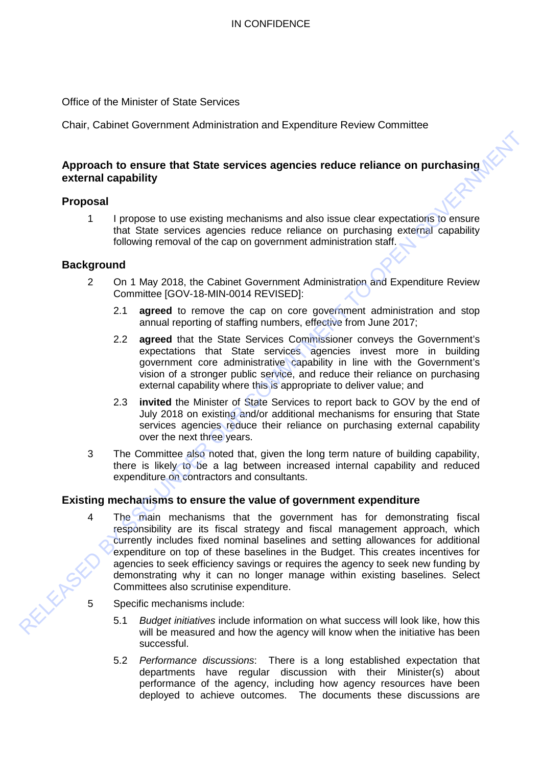Office of the Minister of State Services

Chair, Cabinet Government Administration and Expenditure Review Committee

## **Approach to ensure that State services agencies reduce reliance on purchasing external capability**

#### **Proposal**

1 I propose to use existing mechanisms and also issue clear expectations to ensure that State services agencies reduce reliance on purchasing external capability following removal of the cap on government administration staff.

### **Background**

- 2 On 1 May 2018, the Cabinet Government Administration and Expenditure Review Committee [GOV-18-MIN-0014 REVISED]:
	- 2.1 **agreed** to remove the cap on core government administration and stop annual reporting of staffing numbers, effective from June 2017;
	- 2.2 **agreed** that the State Services Commissioner conveys the Government's expectations that State services agencies invest more in building government core administrative capability in line with the Government's vision of a stronger public service, and reduce their reliance on purchasing external capability where this is appropriate to deliver value; and
	- 2.3 **invited** the Minister of State Services to report back to GOV by the end of July 2018 on existing and/or additional mechanisms for ensuring that State services agencies reduce their reliance on purchasing external capability over the next three years.
- 3 The Committee also noted that, given the long term nature of building capability, there is likely to be a lag between increased internal capability and reduced expenditure on contractors and consultants.

## **Existing mechanisms to ensure the value of government expenditure**

- 4 The main mechanisms that the government has for demonstrating fiscal responsibility are its fiscal strategy and fiscal management approach, which currently includes fixed nominal baselines and setting allowances for additional expenditure on top of these baselines in the Budget. This creates incentives for agencies to seek efficiency savings or requires the agency to seek new funding by demonstrating why it can no longer manage within existing baselines. Select Committees also scrutinise expenditure. Approach to ensure that State services agencies reduce reliance on purchasing<br>
external capability<br>
Proposal<br>
1 propose to use existing mechanisms and also issue clear expectations of one<br>
that State services agencies red
	- 5 Specific mechanisms include:
		- 5.1 *Budget initiatives* include information on what success will look like, how this will be measured and how the agency will know when the initiative has been successful.
		- 5.2 *Performance discussions*: There is a long established expectation that departments have regular discussion with their Minister(s) about performance of the agency, including how agency resources have been deployed to achieve outcomes. The documents these discussions are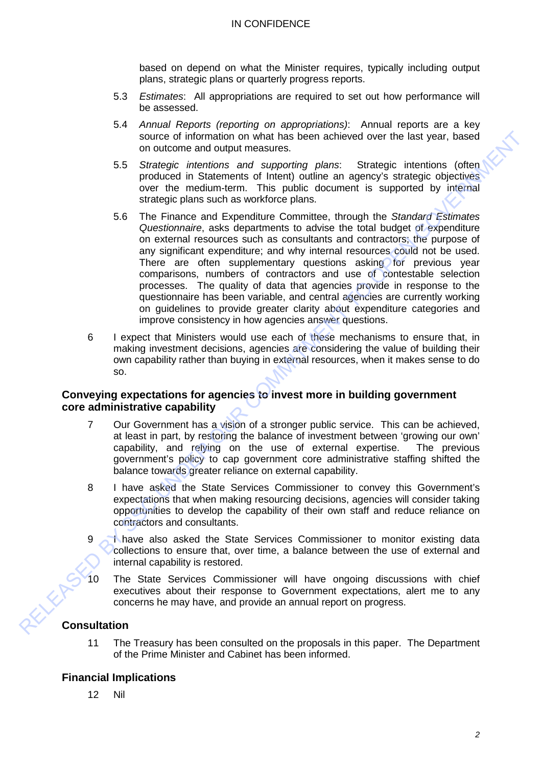based on depend on what the Minister requires, typically including output plans, strategic plans or quarterly progress reports.

- 5.3 *Estimates*: All appropriations are required to set out how performance will be assessed.
- 5.4 *Annual Reports (reporting on appropriations)*: Annual reports are a key source of information on what has been achieved over the last year, based on outcome and output measures.
- 5.5 *Strategic intentions and supporting plans*: Strategic intentions (often produced in Statements of Intent) outline an agency's strategic objectives over the medium-term. This public document is supported by internal strategic plans such as workforce plans.
- 5.6 The Finance and Expenditure Committee, through the *Standard Estimates Questionnaire*, asks departments to advise the total budget of expenditure on external resources such as consultants and contractors; the purpose of any significant expenditure; and why internal resources could not be used. There are often supplementary questions asking for previous year comparisons, numbers of contractors and use of contestable selection processes. The quality of data that agencies provide in response to the questionnaire has been variable, and central agencies are currently working on guidelines to provide greater clarity about expenditure categories and improve consistency in how agencies answer questions. source information on what has been achieved over the last year, based<br>on outcome and output measures.<br>
5.6 Strategic information (other)<br>
produced in Statements of Intern) outline an agency's strategic objectives<br>
produce
	- 6 I expect that Ministers would use each of these mechanisms to ensure that, in making investment decisions, agencies are considering the value of building their own capability rather than buying in external resources, when it makes sense to do so.

## **Conveying expectations for agencies to invest more in building government core administrative capability**

- 7 Our Government has a vision of a stronger public service. This can be achieved, at least in part, by restoring the balance of investment between 'growing our own' capability, and relying on the use of external expertise. The previous government's policy to cap government core administrative staffing shifted the balance towards greater reliance on external capability.
- 8 I have asked the State Services Commissioner to convey this Government's expectations that when making resourcing decisions, agencies will consider taking opportunities to develop the capability of their own staff and reduce reliance on contractors and consultants.
- 9 **I** have also asked the State Services Commissioner to monitor existing data collections to ensure that, over time, a balance between the use of external and internal capability is restored.
- 10 The State Services Commissioner will have ongoing discussions with chief executives about their response to Government expectations, alert me to any concerns he may have, and provide an annual report on progress.

## **Consultation**

11 The Treasury has been consulted on the proposals in this paper. The Department of the Prime Minister and Cabinet has been informed.

# **Financial Implications**

12 Nil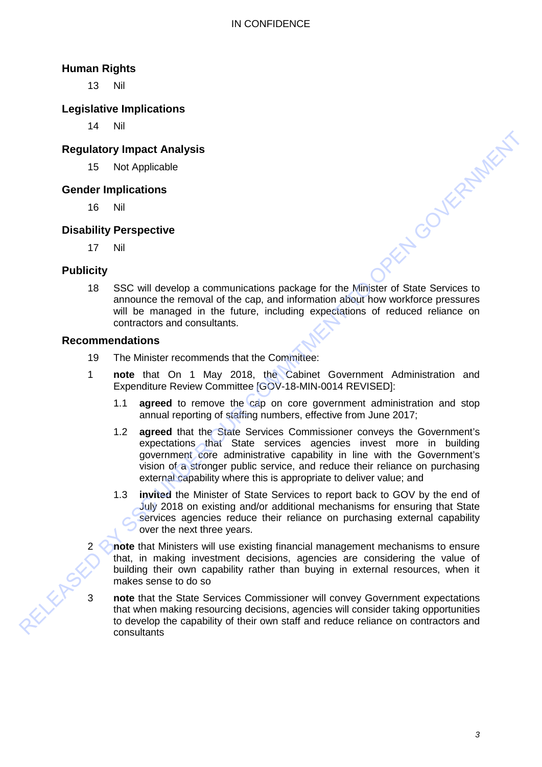## **Human Rights**

13 Nil

### **Legislative Implications**

14 Nil

# **Regulatory Impact Analysis**

15 Not Applicable

**Gender Implications**

16 Nil

## **Disability Perspective**

17 Nil

## **Publicity**

**RELEAS** 

18 SSC will develop a communications package for the Minister of State Services to announce the removal of the cap, and information about how workforce pressures will be managed in the future, including expectations of reduced reliance on contractors and consultants. PER COUR PLANE

#### **Recommendations**

- 19 The Minister recommends that the Committee:
- 1 **note** that On 1 May 2018, the Cabinet Government Administration and Expenditure Review Committee [GOV-18-MIN-0014 REVISED]:
	- 1.1 **agreed** to remove the cap on core government administration and stop annual reporting of staffing numbers, effective from June 2017;
	- 1.2 **agreed** that the State Services Commissioner conveys the Government's expectations that State services agencies invest more in building government core administrative capability in line with the Government's vision of a stronger public service, and reduce their reliance on purchasing external capability where this is appropriate to deliver value; and
	- 1.3 **invited** the Minister of State Services to report back to GOV by the end of July 2018 on existing and/or additional mechanisms for ensuring that State services agencies reduce their reliance on purchasing external capability over the next three years.

2 **note** that Ministers will use existing financial management mechanisms to ensure that, in making investment decisions, agencies are considering the value of building their own capability rather than buying in external resources, when it makes sense to do so

3 **note** that the State Services Commissioner will convey Government expectations that when making resourcing decisions, agencies will consider taking opportunities to develop the capability of their own staff and reduce reliance on contractors and consultants